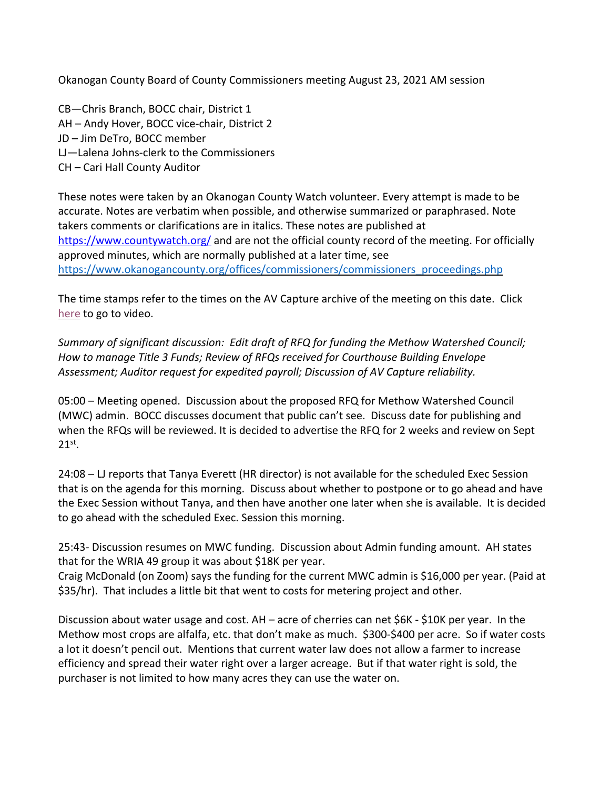Okanogan County Board of County Commissioners meeting August 23, 2021 AM session

CB—Chris Branch, BOCC chair, District 1 AH – Andy Hover, BOCC vice-chair, District 2 JD – Jim DeTro, BOCC member LJ—Lalena Johns-clerk to the Commissioners CH – Cari Hall County Auditor

These notes were taken by an Okanogan County Watch volunteer. Every attempt is made to be accurate. Notes are verbatim when possible, and otherwise summarized or paraphrased. Note takers comments or clarifications are in italics. These notes are published at https://www.countywatch.org/ and are not the official county record of the meeting. For officially approved minutes, which are normally published at a later time, see https://www.okanogancounty.org/offices/commissioners/commissioners\_proceedings.php

The time stamps refer to the times on the AV Capture archive of the meeting on this date. Click here to go to video.

*Summary of significant discussion: Edit draft of RFQ for funding the Methow Watershed Council; How to manage Title 3 Funds; Review of RFQs received for Courthouse Building Envelope Assessment; Auditor request for expedited payroll; Discussion of AV Capture reliability.*

05:00 – Meeting opened. Discussion about the proposed RFQ for Methow Watershed Council (MWC) admin. BOCC discusses document that public can't see. Discuss date for publishing and when the RFQs will be reviewed. It is decided to advertise the RFQ for 2 weeks and review on Sept  $21^{st}$ .

24:08 – LJ reports that Tanya Everett (HR director) is not available for the scheduled Exec Session that is on the agenda for this morning. Discuss about whether to postpone or to go ahead and have the Exec Session without Tanya, and then have another one later when she is available. It is decided to go ahead with the scheduled Exec. Session this morning.

25:43- Discussion resumes on MWC funding. Discussion about Admin funding amount. AH states that for the WRIA 49 group it was about \$18K per year.

Craig McDonald (on Zoom) says the funding for the current MWC admin is \$16,000 per year. (Paid at \$35/hr). That includes a little bit that went to costs for metering project and other.

Discussion about water usage and cost. AH – acre of cherries can net \$6K - \$10K per year. In the Methow most crops are alfalfa, etc. that don't make as much. \$300-\$400 per acre. So if water costs a lot it doesn't pencil out. Mentions that current water law does not allow a farmer to increase efficiency and spread their water right over a larger acreage. But if that water right is sold, the purchaser is not limited to how many acres they can use the water on.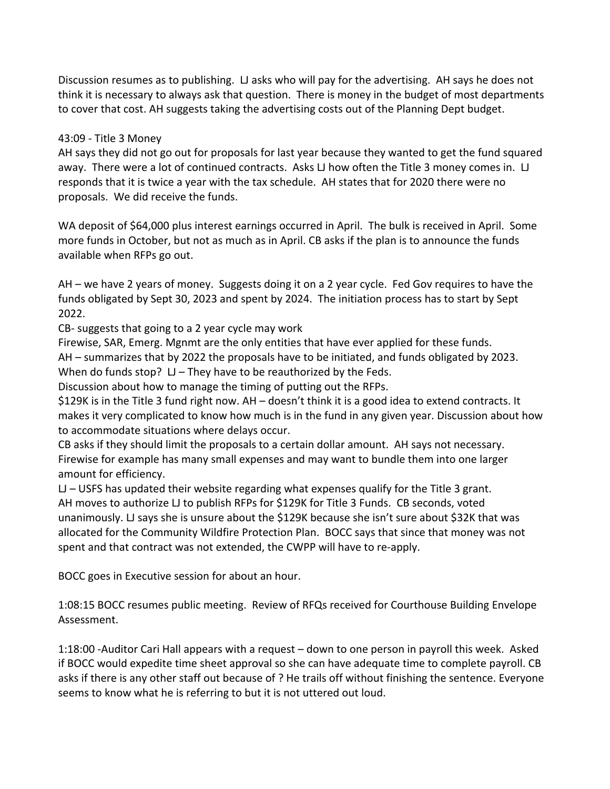Discussion resumes as to publishing. LJ asks who will pay for the advertising. AH says he does not think it is necessary to always ask that question. There is money in the budget of most departments to cover that cost. AH suggests taking the advertising costs out of the Planning Dept budget.

## 43:09 - Title 3 Money

AH says they did not go out for proposals for last year because they wanted to get the fund squared away. There were a lot of continued contracts. Asks LJ how often the Title 3 money comes in. LJ responds that it is twice a year with the tax schedule. AH states that for 2020 there were no proposals. We did receive the funds.

WA deposit of \$64,000 plus interest earnings occurred in April. The bulk is received in April. Some more funds in October, but not as much as in April. CB asks if the plan is to announce the funds available when RFPs go out.

AH – we have 2 years of money. Suggests doing it on a 2 year cycle. Fed Gov requires to have the funds obligated by Sept 30, 2023 and spent by 2024. The initiation process has to start by Sept 2022.

CB- suggests that going to a 2 year cycle may work

Firewise, SAR, Emerg. Mgnmt are the only entities that have ever applied for these funds. AH – summarizes that by 2022 the proposals have to be initiated, and funds obligated by 2023. When do funds stop?  $LI$  – They have to be reauthorized by the Feds.

Discussion about how to manage the timing of putting out the RFPs.

\$129K is in the Title 3 fund right now. AH – doesn't think it is a good idea to extend contracts. It makes it very complicated to know how much is in the fund in any given year. Discussion about how to accommodate situations where delays occur.

CB asks if they should limit the proposals to a certain dollar amount. AH says not necessary. Firewise for example has many small expenses and may want to bundle them into one larger amount for efficiency.

LJ – USFS has updated their website regarding what expenses qualify for the Title 3 grant. AH moves to authorize LJ to publish RFPs for \$129K for Title 3 Funds. CB seconds, voted unanimously. LJ says she is unsure about the \$129K because she isn't sure about \$32K that was allocated for the Community Wildfire Protection Plan. BOCC says that since that money was not spent and that contract was not extended, the CWPP will have to re-apply.

BOCC goes in Executive session for about an hour.

1:08:15 BOCC resumes public meeting. Review of RFQs received for Courthouse Building Envelope Assessment.

1:18:00 -Auditor Cari Hall appears with a request – down to one person in payroll this week. Asked if BOCC would expedite time sheet approval so she can have adequate time to complete payroll. CB asks if there is any other staff out because of ? He trails off without finishing the sentence. Everyone seems to know what he is referring to but it is not uttered out loud.